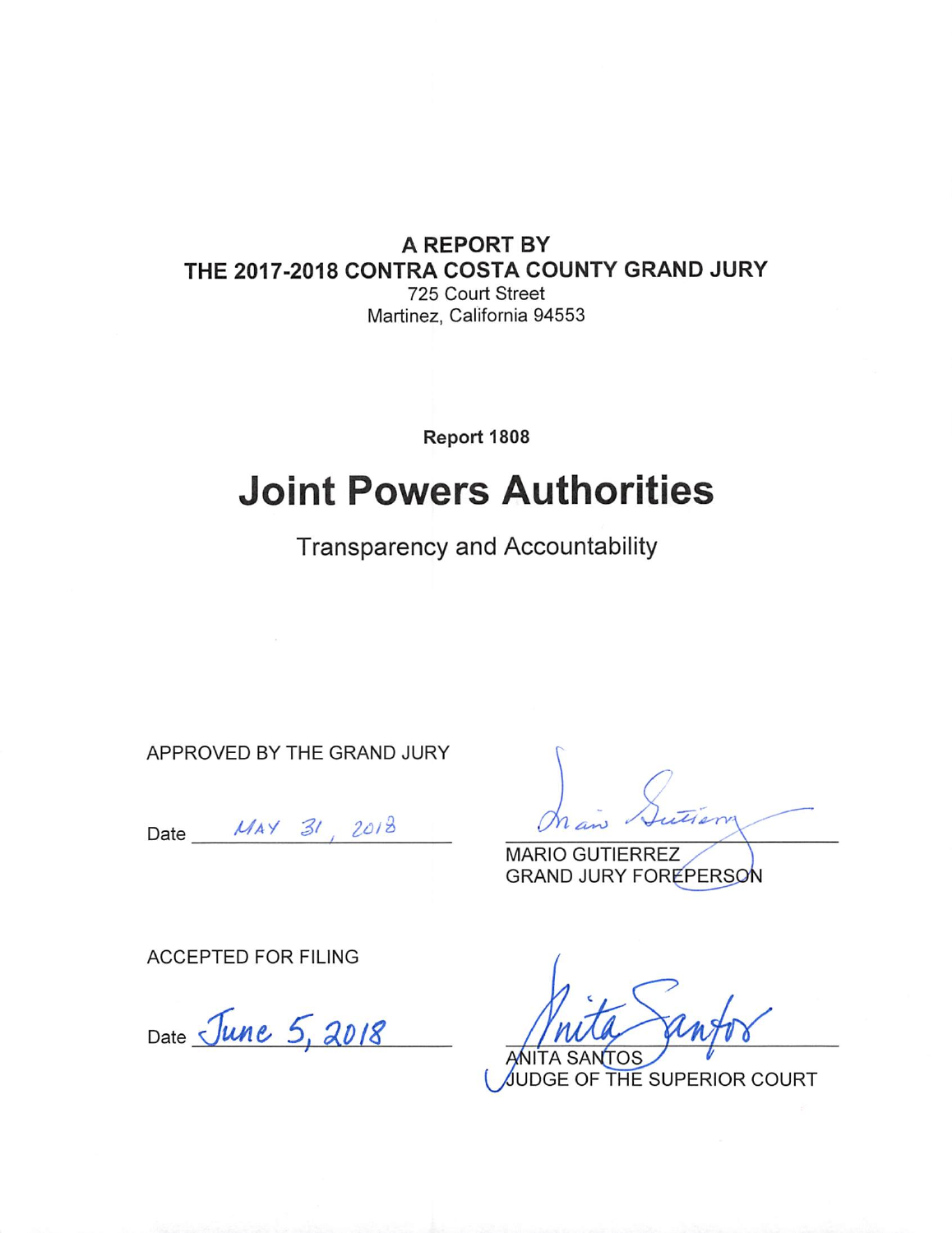### A REPORT BY THE 2017-2018 CONTRA COSTA COUNTY GRAND JURY 725 Court Street

Martinez, California 94553

Report 1808

# **Joint Powers Authorities**

**Transparency and Accountability** 

APPROVED BY THE GRAND JURY

Date  $MAX \frac{31}{2018}$ 

**MARIO GUTIERREZ GRAND JURY FOREPERSON** 

**ACCEPTED FOR FILING** 

Date June 5, 2018

**TA SANTOS** UDGE OF THE SUPERIOR COURT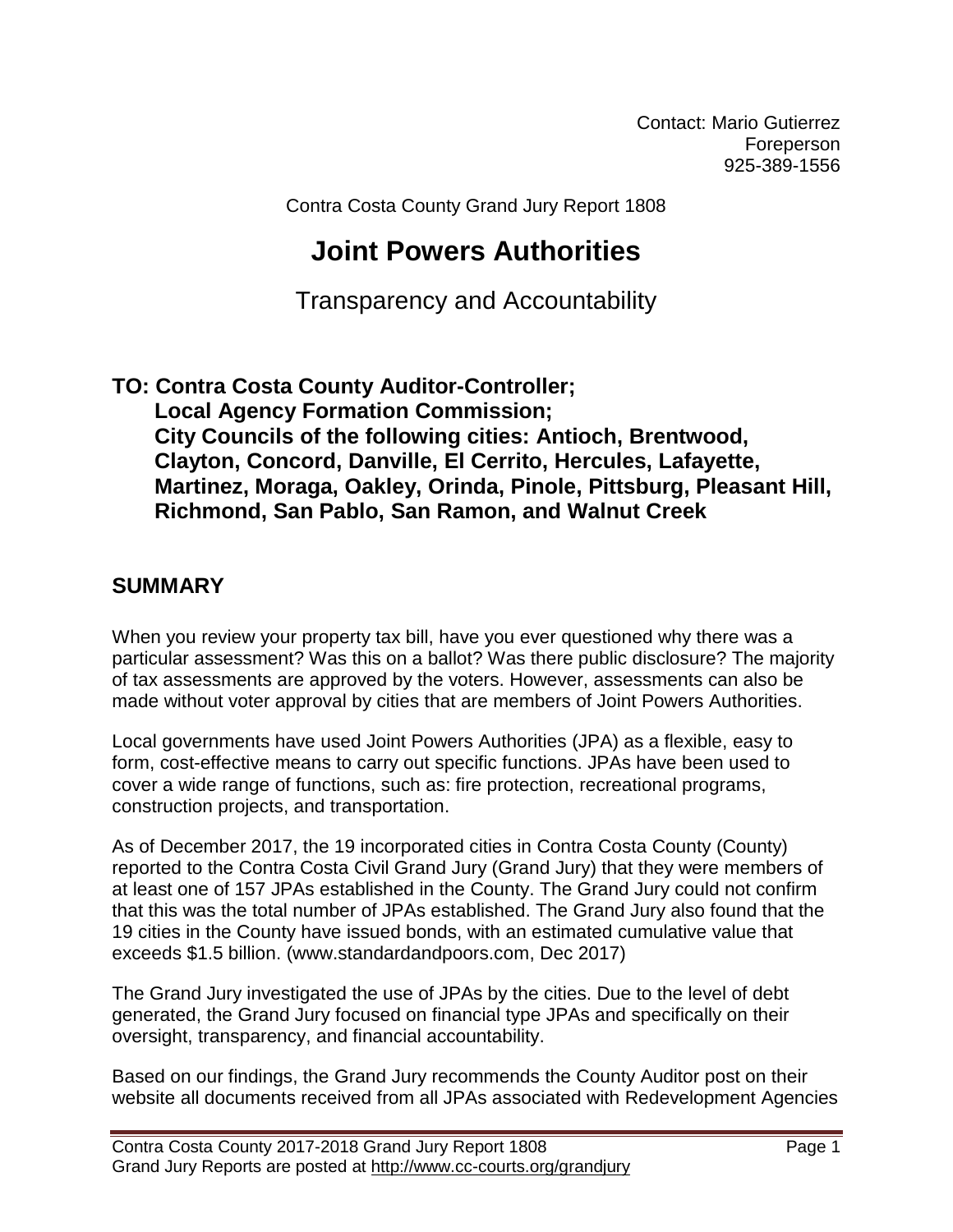Contact: Mario Gutierrez Foreperson 925-389-1556

Contra Costa County Grand Jury Report 1808

# **Joint Powers Authorities**

Transparency and Accountability

**TO: Contra Costa County Auditor-Controller; Local Agency Formation Commission; City Councils of the following cities: Antioch, Brentwood, Clayton, Concord, Danville, El Cerrito, Hercules, Lafayette, Martinez, Moraga, Oakley, Orinda, Pinole, Pittsburg, Pleasant Hill, Richmond, San Pablo, San Ramon, and Walnut Creek**

### **SUMMARY**

When you review your property tax bill, have you ever questioned why there was a particular assessment? Was this on a ballot? Was there public disclosure? The majority of tax assessments are approved by the voters. However, assessments can also be made without voter approval by cities that are members of Joint Powers Authorities.

Local governments have used Joint Powers Authorities (JPA) as a flexible, easy to form, cost-effective means to carry out specific functions. JPAs have been used to cover a wide range of functions, such as: fire protection, recreational programs, construction projects, and transportation.

As of December 2017, the 19 incorporated cities in Contra Costa County (County) reported to the Contra Costa Civil Grand Jury (Grand Jury) that they were members of at least one of 157 JPAs established in the County. The Grand Jury could not confirm that this was the total number of JPAs established. The Grand Jury also found that the 19 cities in the County have issued bonds, with an estimated cumulative value that exceeds \$1.5 billion. (www.standardandpoors.com, Dec 2017)

The Grand Jury investigated the use of JPAs by the cities. Due to the level of debt generated, the Grand Jury focused on financial type JPAs and specifically on their oversight, transparency, and financial accountability.

Based on our findings, the Grand Jury recommends the County Auditor post on their website all documents received from all JPAs associated with Redevelopment Agencies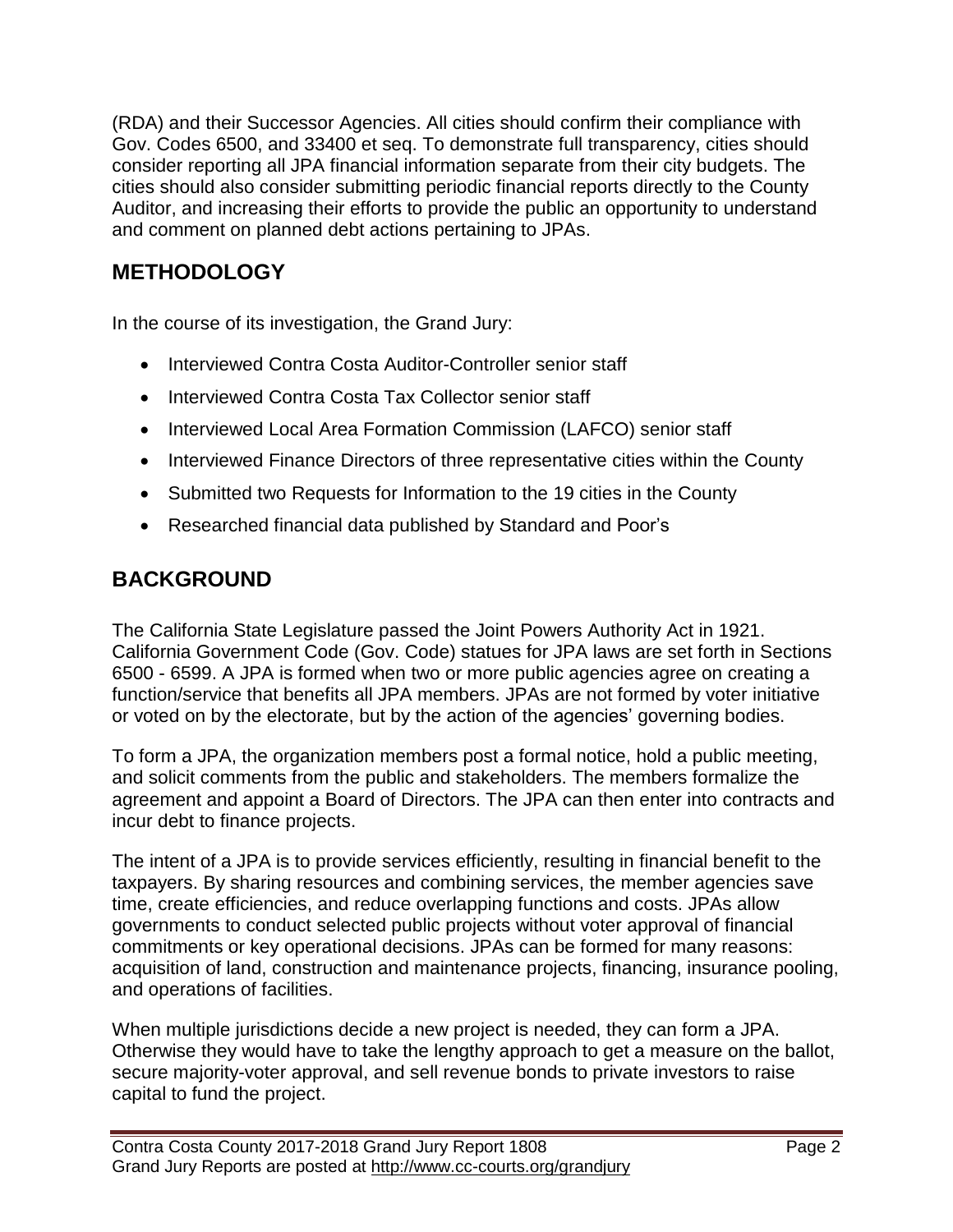(RDA) and their Successor Agencies. All cities should confirm their compliance with Gov. Codes 6500, and 33400 et seq. To demonstrate full transparency, cities should consider reporting all JPA financial information separate from their city budgets. The cities should also consider submitting periodic financial reports directly to the County Auditor, and increasing their efforts to provide the public an opportunity to understand and comment on planned debt actions pertaining to JPAs.

# **METHODOLOGY**

In the course of its investigation, the Grand Jury:

- Interviewed Contra Costa Auditor-Controller senior staff
- Interviewed Contra Costa Tax Collector senior staff
- Interviewed Local Area Formation Commission (LAFCO) senior staff
- Interviewed Finance Directors of three representative cities within the County
- Submitted two Requests for Information to the 19 cities in the County
- Researched financial data published by Standard and Poor's

# **BACKGROUND**

The California State Legislature passed the Joint Powers Authority Act in 1921. California Government Code (Gov. Code) statues for JPA laws are set forth in Sections 6500 - 6599. A JPA is formed when two or more public agencies agree on creating a function/service that benefits all JPA members. JPAs are not formed by voter initiative or voted on by the electorate, but by the action of the agencies' governing bodies.

To form a JPA, the organization members post a formal notice, hold a public meeting, and solicit comments from the public and stakeholders. The members formalize the agreement and appoint a Board of Directors. The JPA can then enter into contracts and incur debt to finance projects.

The intent of a JPA is to provide services efficiently, resulting in financial benefit to the taxpayers. By sharing resources and combining services, the member agencies save time, create efficiencies, and reduce overlapping functions and costs. JPAs allow governments to conduct selected public projects without voter approval of financial commitments or key operational decisions. JPAs can be formed for many reasons: acquisition of land, construction and maintenance projects, financing, insurance pooling, and operations of facilities.

When multiple jurisdictions decide a new project is needed, they can form a JPA. Otherwise they would have to take the lengthy approach to get a measure on the ballot, secure majority-voter approval, and sell revenue bonds to private investors to raise capital to fund the project.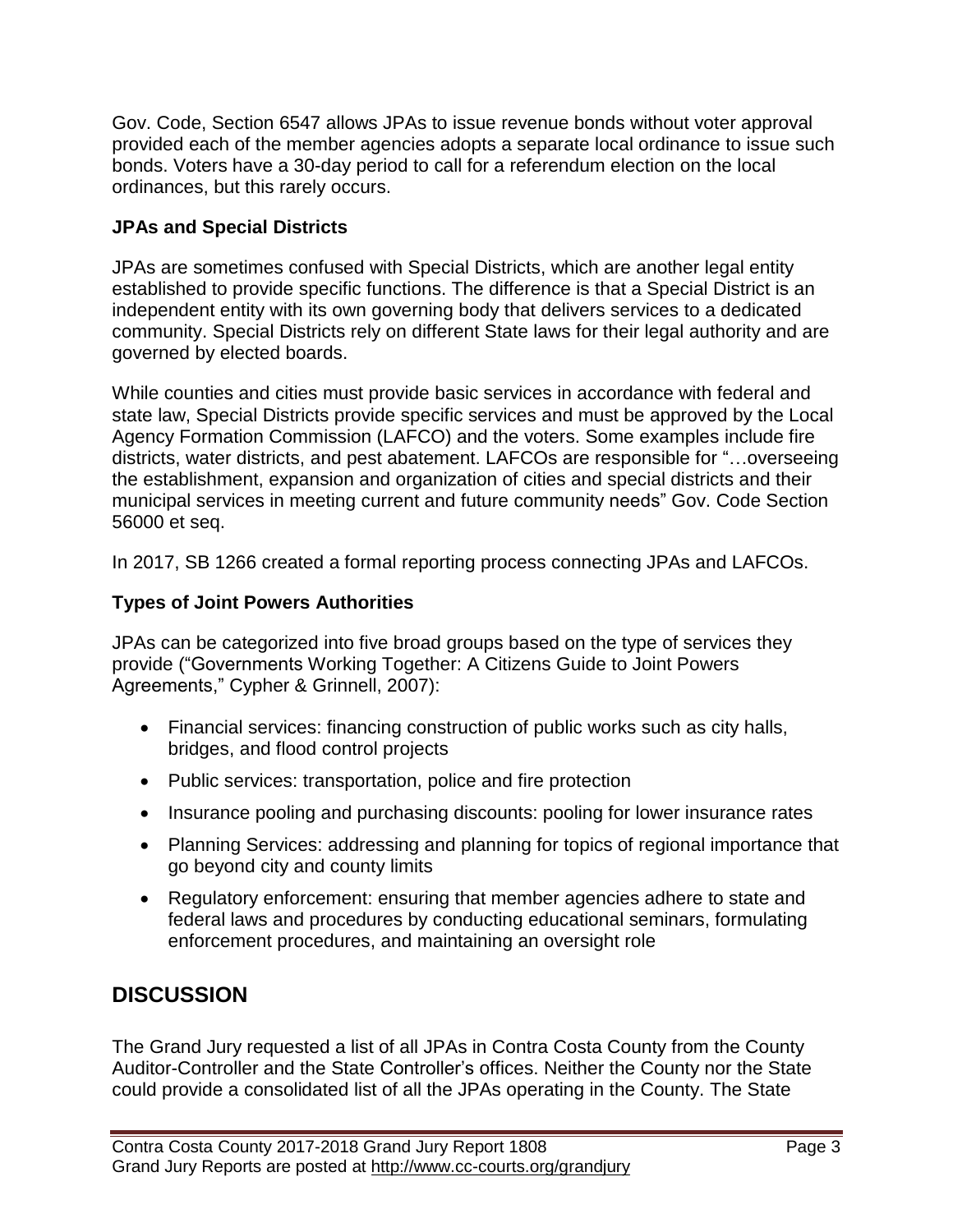Gov. Code, Section 6547 allows JPAs to issue revenue bonds without voter approval provided each of the member agencies adopts a separate local ordinance to issue such bonds. Voters have a 30-day period to call for a referendum election on the local ordinances, but this rarely occurs.

#### **JPAs and Special Districts**

JPAs are sometimes confused with Special Districts, which are another legal entity established to provide specific functions. The difference is that a Special District is an independent entity with its own governing body that delivers services to a dedicated community. Special Districts rely on different State laws for their legal authority and are governed by elected boards.

While counties and cities must provide basic services in accordance with federal and state law, Special Districts provide specific services and must be approved by the Local Agency Formation Commission (LAFCO) and the voters. Some examples include fire districts, water districts, and pest abatement. LAFCOs are responsible for "…overseeing the establishment, expansion and organization of cities and special districts and their municipal services in meeting current and future community needs" Gov. Code Section 56000 et seq.

In 2017, SB 1266 created a formal reporting process connecting JPAs and LAFCOs.

#### **Types of Joint Powers Authorities**

JPAs can be categorized into five broad groups based on the type of services they provide ("Governments Working Together: A Citizens Guide to Joint Powers Agreements," Cypher & Grinnell, 2007):

- Financial services: financing construction of public works such as city halls, bridges, and flood control projects
- Public services: transportation, police and fire protection
- Insurance pooling and purchasing discounts: pooling for lower insurance rates
- Planning Services: addressing and planning for topics of regional importance that go beyond city and county limits
- Regulatory enforcement: ensuring that member agencies adhere to state and federal laws and procedures by conducting educational seminars, formulating enforcement procedures, and maintaining an oversight role

# **DISCUSSION**

The Grand Jury requested a list of all JPAs in Contra Costa County from the County Auditor-Controller and the State Controller's offices. Neither the County nor the State could provide a consolidated list of all the JPAs operating in the County. The State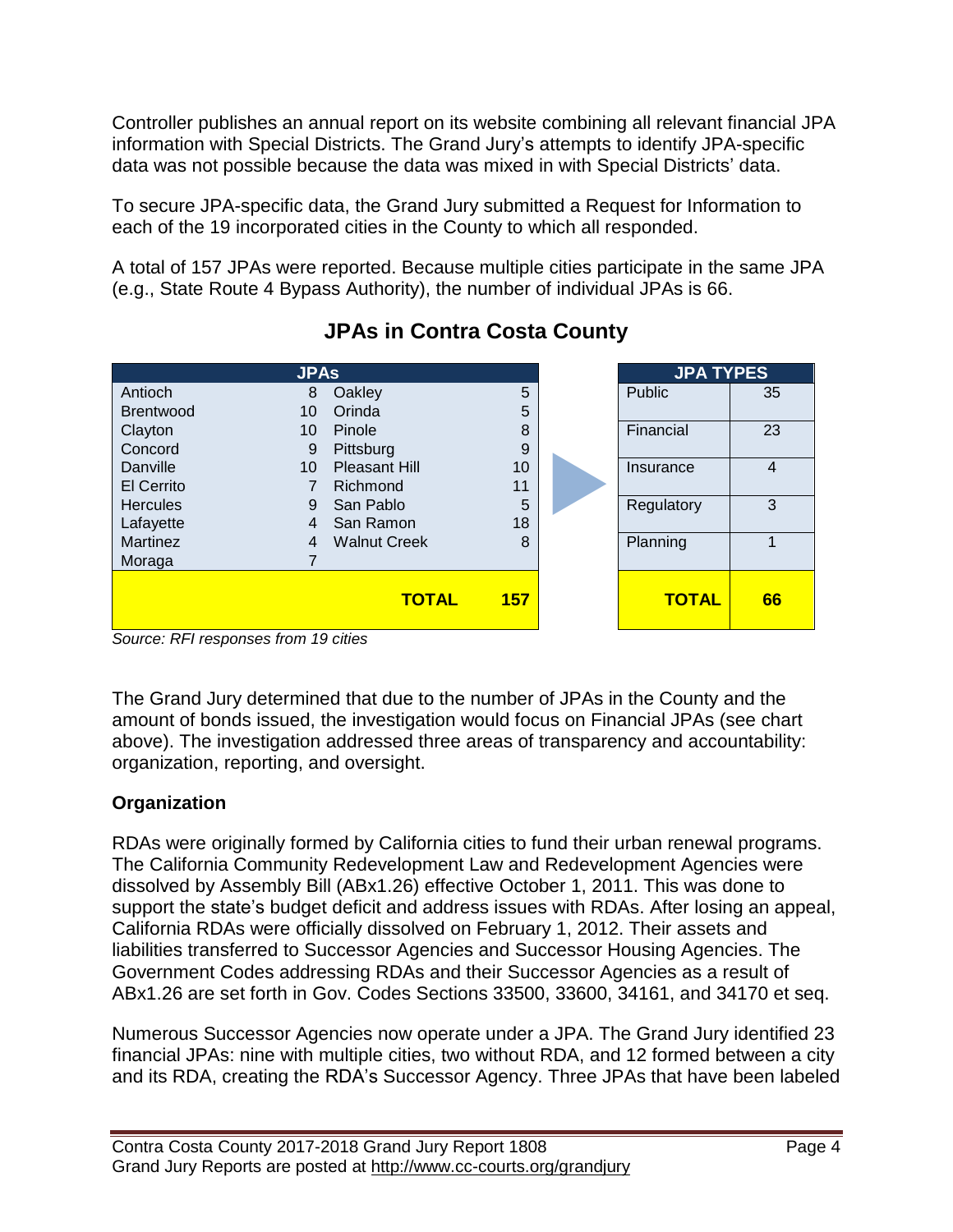Controller publishes an annual report on its website combining all relevant financial JPA information with Special Districts. The Grand Jury's attempts to identify JPA-specific data was not possible because the data was mixed in with Special Districts' data.

To secure JPA-specific data, the Grand Jury submitted a Request for Information to each of the 19 incorporated cities in the County to which all responded.

A total of 157 JPAs were reported. Because multiple cities participate in the same JPA (e.g., State Route 4 Bypass Authority), the number of individual JPAs is 66.

| <b>JPAs</b>      |                |                      | <b>JPA TYPES</b> |              |                |
|------------------|----------------|----------------------|------------------|--------------|----------------|
| Antioch          | 8              | Oakley               | 5                | Public       | 35             |
| <b>Brentwood</b> | 10             | Orinda               | 5                |              |                |
| Clayton          | 10             | Pinole               | 8                | Financial    | 23             |
| Concord          | 9              | Pittsburg            | 9                |              |                |
| Danville         | 10             | <b>Pleasant Hill</b> | 10               | Insurance    | $\overline{4}$ |
| El Cerrito       |                | Richmond             | 11               |              |                |
| <b>Hercules</b>  | 9              | San Pablo            | 5                | Regulatory   | 3              |
| Lafayette        | $\overline{4}$ | San Ramon            | 18               |              |                |
| <b>Martinez</b>  | $\overline{4}$ | <b>Walnut Creek</b>  | 8                | Planning     |                |
| Moraga           |                |                      |                  |              |                |
|                  |                | <b>TOTAL</b>         | <b>157</b>       | <b>TOTAL</b> | 66             |

# **JPAs in Contra Costa County**

The Grand Jury determined that due to the number of JPAs in the County and the amount of bonds issued, the investigation would focus on Financial JPAs (see chart above). The investigation addressed three areas of transparency and accountability: organization, reporting, and oversight.

### **Organization**

RDAs were originally formed by California cities to fund their urban renewal programs. The California Community Redevelopment Law and Redevelopment Agencies were dissolved by Assembly Bill (ABx1.26) effective October 1, 2011. This was done to support the state's budget deficit and address issues with RDAs. After losing an appeal, California RDAs were officially dissolved on February 1, 2012. Their assets and liabilities transferred to Successor Agencies and Successor Housing Agencies. The Government Codes addressing RDAs and their Successor Agencies as a result of ABx1.26 are set forth in Gov. Codes Sections 33500, 33600, 34161, and 34170 et seq.

Numerous Successor Agencies now operate under a JPA. The Grand Jury identified 23 financial JPAs: nine with multiple cities, two without RDA, and 12 formed between a city and its RDA, creating the RDA's Successor Agency. Three JPAs that have been labeled

*Source: RFI responses from 19 cities*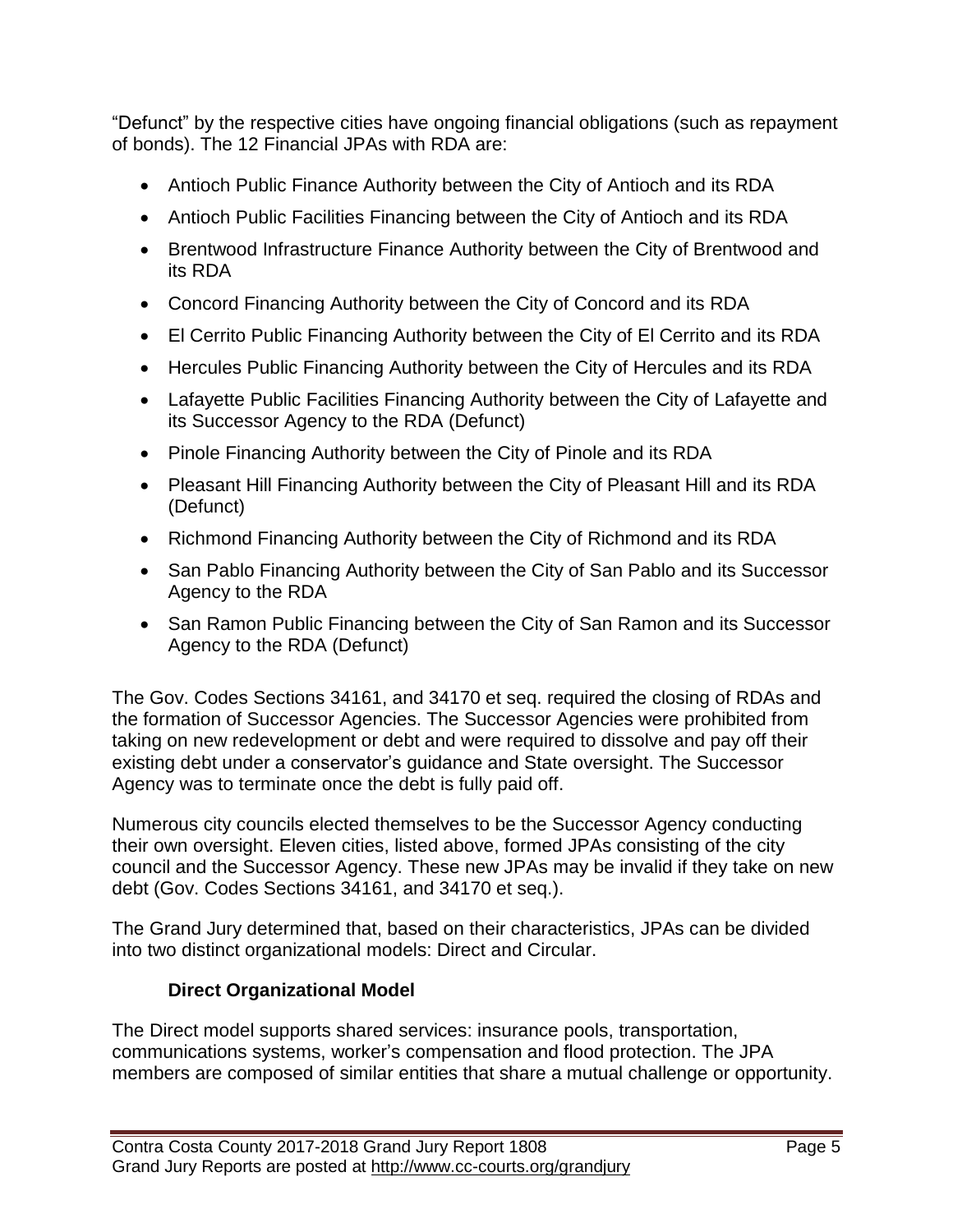"Defunct" by the respective cities have ongoing financial obligations (such as repayment of bonds). The 12 Financial JPAs with RDA are:

- Antioch Public Finance Authority between the City of Antioch and its RDA
- Antioch Public Facilities Financing between the City of Antioch and its RDA
- Brentwood Infrastructure Finance Authority between the City of Brentwood and its RDA
- Concord Financing Authority between the City of Concord and its RDA
- El Cerrito Public Financing Authority between the City of El Cerrito and its RDA
- Hercules Public Financing Authority between the City of Hercules and its RDA
- Lafayette Public Facilities Financing Authority between the City of Lafayette and its Successor Agency to the RDA (Defunct)
- Pinole Financing Authority between the City of Pinole and its RDA
- Pleasant Hill Financing Authority between the City of Pleasant Hill and its RDA (Defunct)
- Richmond Financing Authority between the City of Richmond and its RDA
- San Pablo Financing Authority between the City of San Pablo and its Successor Agency to the RDA
- San Ramon Public Financing between the City of San Ramon and its Successor Agency to the RDA (Defunct)

The Gov. Codes Sections 34161, and 34170 et seq. required the closing of RDAs and the formation of Successor Agencies. The Successor Agencies were prohibited from taking on new redevelopment or debt and were required to dissolve and pay off their existing debt under a conservator's guidance and State oversight. The Successor Agency was to terminate once the debt is fully paid off.

Numerous city councils elected themselves to be the Successor Agency conducting their own oversight. Eleven cities, listed above, formed JPAs consisting of the city council and the Successor Agency. These new JPAs may be invalid if they take on new debt (Gov. Codes Sections 34161, and 34170 et seq.).

The Grand Jury determined that, based on their characteristics, JPAs can be divided into two distinct organizational models: Direct and Circular.

### **Direct Organizational Model**

The Direct model supports shared services: insurance pools, transportation, communications systems, worker's compensation and flood protection. The JPA members are composed of similar entities that share a mutual challenge or opportunity.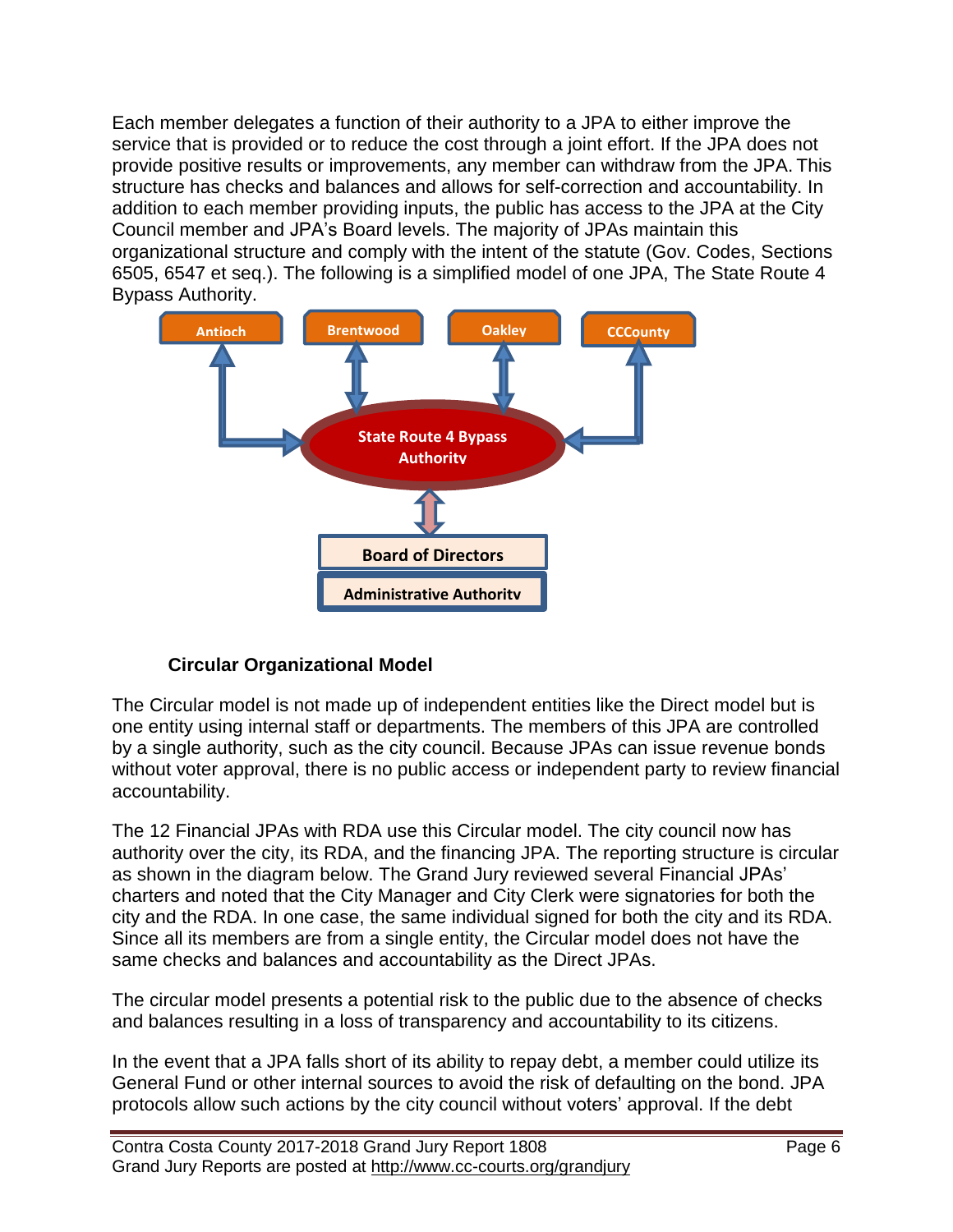Each member delegates a function of their authority to a JPA to either improve the service that is provided or to reduce the cost through a joint effort. If the JPA does not provide positive results or improvements, any member can withdraw from the JPA. This structure has checks and balances and allows for self-correction and accountability. In addition to each member providing inputs, the public has access to the JPA at the City Council member and JPA's Board levels. The majority of JPAs maintain this organizational structure and comply with the intent of the statute (Gov. Codes, Sections 6505, 6547 et seq.). The following is a simplified model of one JPA, The State Route 4 Bypass Authority.



### **Circular Organizational Model**

The Circular model is not made up of independent entities like the Direct model but is one entity using internal staff or departments. The members of this JPA are controlled by a single authority, such as the city council. Because JPAs can issue revenue bonds without voter approval, there is no public access or independent party to review financial accountability.

The 12 Financial JPAs with RDA use this Circular model. The city council now has authority over the city, its RDA, and the financing JPA. The reporting structure is circular as shown in the diagram below. The Grand Jury reviewed several Financial JPAs' charters and noted that the City Manager and City Clerk were signatories for both the city and the RDA. In one case, the same individual signed for both the city and its RDA. Since all its members are from a single entity, the Circular model does not have the same checks and balances and accountability as the Direct JPAs.

The circular model presents a potential risk to the public due to the absence of checks and balances resulting in a loss of transparency and accountability to its citizens.

In the event that a JPA falls short of its ability to repay debt, a member could utilize its General Fund or other internal sources to avoid the risk of defaulting on the bond. JPA protocols allow such actions by the city council without voters' approval. If the debt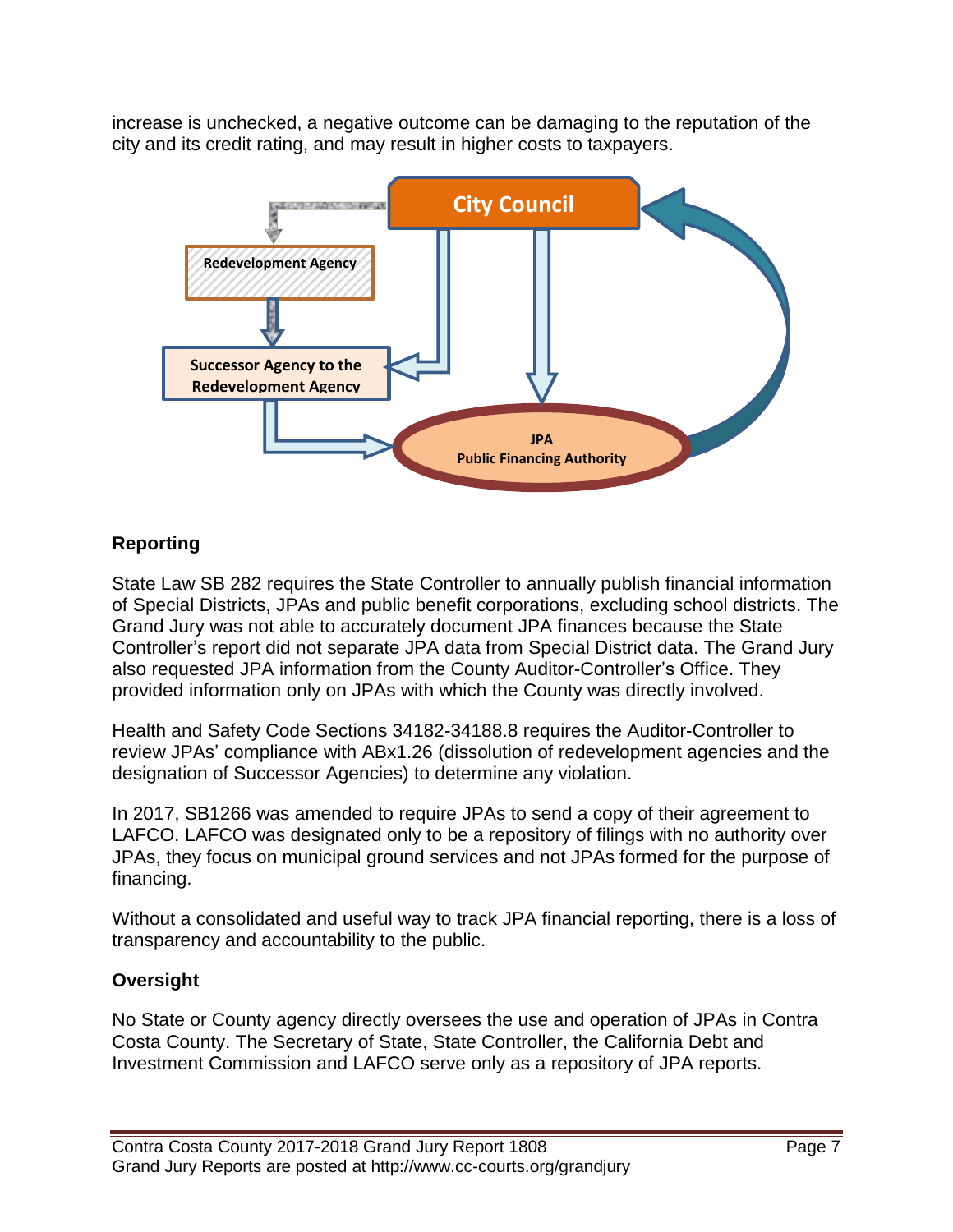increase is unchecked, a negative outcome can be damaging to the reputation of the city and its credit rating, and may result in higher costs to taxpayers.



### **Reporting**

State Law SB 282 requires the State Controller to annually publish financial information of Special Districts, JPAs and public benefit corporations, excluding school districts. The Grand Jury was not able to accurately document JPA finances because the State Controller's report did not separate JPA data from Special District data. The Grand Jury also requested JPA information from the County Auditor-Controller's Office. They provided information only on JPAs with which the County was directly involved.

Health and Safety Code Sections 34182-34188.8 requires the Auditor-Controller to review JPAs' compliance with ABx1.26 (dissolution of redevelopment agencies and the designation of Successor Agencies) to determine any violation.

In 2017, SB1266 was amended to require JPAs to send a copy of their agreement to LAFCO. LAFCO was designated only to be a repository of filings with no authority over JPAs, they focus on municipal ground services and not JPAs formed for the purpose of financing.

Without a consolidated and useful way to track JPA financial reporting, there is a loss of transparency and accountability to the public.

### **Oversight**

No State or County agency directly oversees the use and operation of JPAs in Contra Costa County. The Secretary of State, State Controller, the California Debt and Investment Commission and LAFCO serve only as a repository of JPA reports.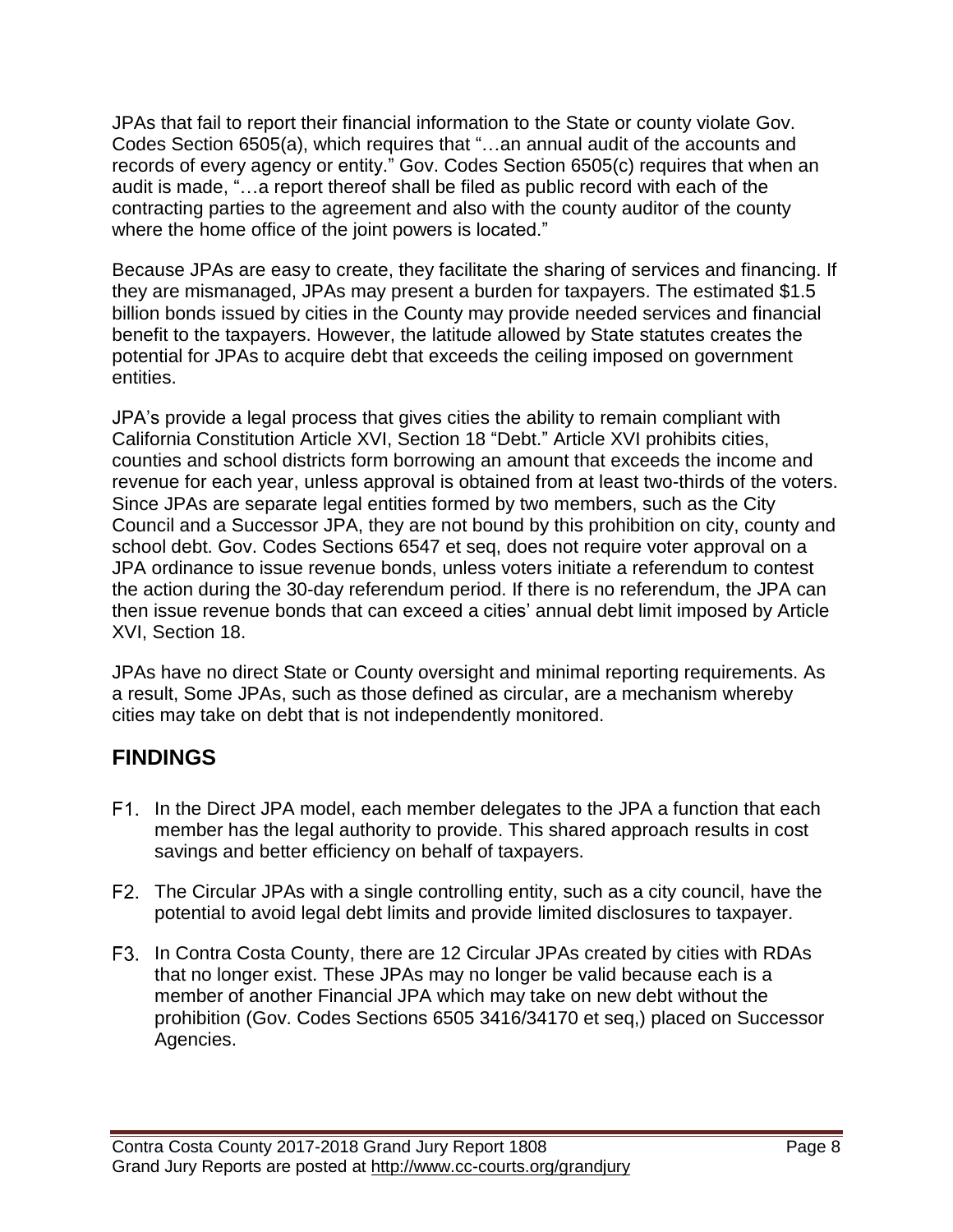JPAs that fail to report their financial information to the State or county violate Gov. Codes Section 6505(a), which requires that "…an annual audit of the accounts and records of every agency or entity." Gov. Codes Section 6505(c) requires that when an audit is made, "…a report thereof shall be filed as public record with each of the contracting parties to the agreement and also with the county auditor of the county where the home office of the joint powers is located."

Because JPAs are easy to create, they facilitate the sharing of services and financing. If they are mismanaged, JPAs may present a burden for taxpayers. The estimated \$1.5 billion bonds issued by cities in the County may provide needed services and financial benefit to the taxpayers. However, the latitude allowed by State statutes creates the potential for JPAs to acquire debt that exceeds the ceiling imposed on government entities.

JPA's provide a legal process that gives cities the ability to remain compliant with California Constitution Article XVI, Section 18 "Debt." Article XVI prohibits cities, counties and school districts form borrowing an amount that exceeds the income and revenue for each year, unless approval is obtained from at least two-thirds of the voters. Since JPAs are separate legal entities formed by two members, such as the City Council and a Successor JPA, they are not bound by this prohibition on city, county and school debt. Gov. Codes Sections 6547 et seq, does not require voter approval on a JPA ordinance to issue revenue bonds, unless voters initiate a referendum to contest the action during the 30-day referendum period. If there is no referendum, the JPA can then issue revenue bonds that can exceed a cities' annual debt limit imposed by Article XVI, Section 18.

JPAs have no direct State or County oversight and minimal reporting requirements. As a result, Some JPAs, such as those defined as circular, are a mechanism whereby cities may take on debt that is not independently monitored.

## **FINDINGS**

- F1. In the Direct JPA model, each member delegates to the JPA a function that each member has the legal authority to provide. This shared approach results in cost savings and better efficiency on behalf of taxpayers.
- The Circular JPAs with a single controlling entity, such as a city council, have the potential to avoid legal debt limits and provide limited disclosures to taxpayer.
- F3. In Contra Costa County, there are 12 Circular JPAs created by cities with RDAs that no longer exist. These JPAs may no longer be valid because each is a member of another Financial JPA which may take on new debt without the prohibition (Gov. Codes Sections 6505 3416/34170 et seq,) placed on Successor Agencies.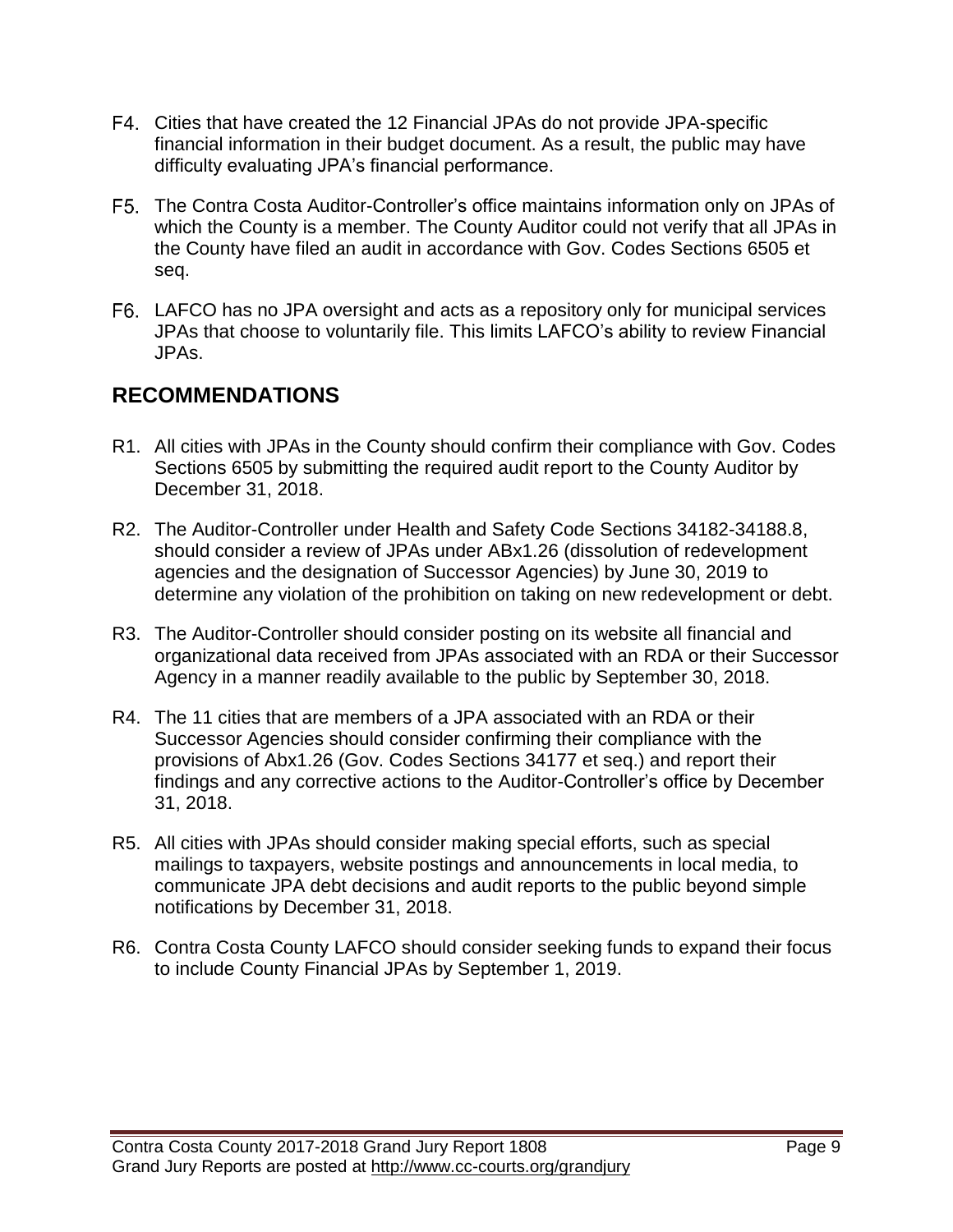- Cities that have created the 12 Financial JPAs do not provide JPA-specific financial information in their budget document. As a result, the public may have difficulty evaluating JPA's financial performance.
- The Contra Costa Auditor-Controller's office maintains information only on JPAs of which the County is a member. The County Auditor could not verify that all JPAs in the County have filed an audit in accordance with Gov. Codes Sections 6505 et seq.
- LAFCO has no JPA oversight and acts as a repository only for municipal services JPAs that choose to voluntarily file. This limits LAFCO's ability to review Financial JPAs.

### **RECOMMENDATIONS**

- R1. All cities with JPAs in the County should confirm their compliance with Gov. Codes Sections 6505 by submitting the required audit report to the County Auditor by December 31, 2018.
- R2. The Auditor-Controller under Health and Safety Code Sections 34182-34188.8, should consider a review of JPAs under ABx1.26 (dissolution of redevelopment agencies and the designation of Successor Agencies) by June 30, 2019 to determine any violation of the prohibition on taking on new redevelopment or debt.
- R3. The Auditor-Controller should consider posting on its website all financial and organizational data received from JPAs associated with an RDA or their Successor Agency in a manner readily available to the public by September 30, 2018.
- R4. The 11 cities that are members of a JPA associated with an RDA or their Successor Agencies should consider confirming their compliance with the provisions of Abx1.26 (Gov. Codes Sections 34177 et seq.) and report their findings and any corrective actions to the Auditor-Controller's office by December 31, 2018.
- R5. All cities with JPAs should consider making special efforts, such as special mailings to taxpayers, website postings and announcements in local media, to communicate JPA debt decisions and audit reports to the public beyond simple notifications by December 31, 2018.
- R6. Contra Costa County LAFCO should consider seeking funds to expand their focus to include County Financial JPAs by September 1, 2019.